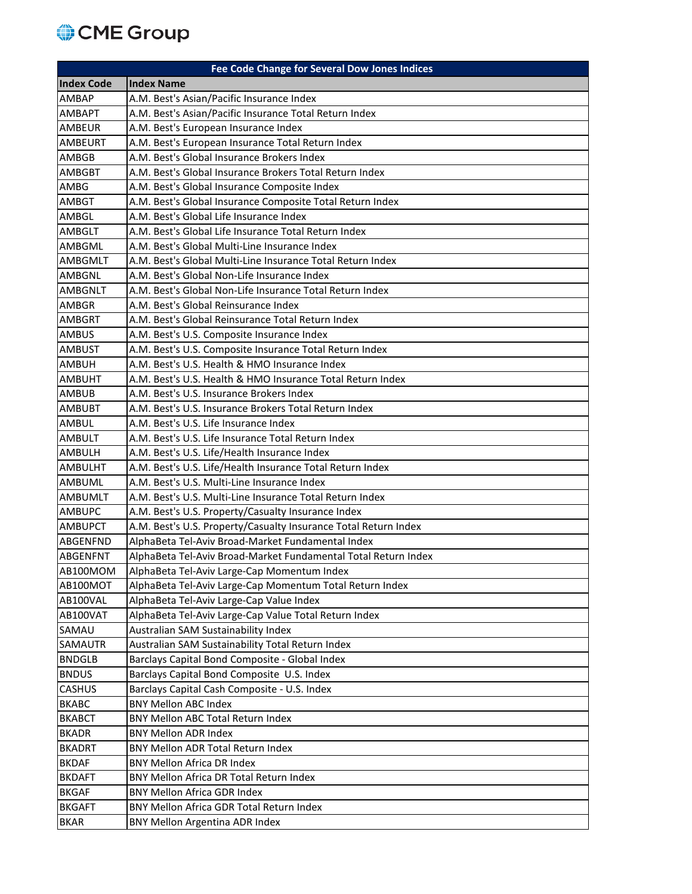## CME Group

|                   | <b>Fee Code Change for Several Dow Jones Indices</b>            |
|-------------------|-----------------------------------------------------------------|
| <b>Index Code</b> | <b>Index Name</b>                                               |
| <b>AMBAP</b>      | A.M. Best's Asian/Pacific Insurance Index                       |
| <b>AMBAPT</b>     | A.M. Best's Asian/Pacific Insurance Total Return Index          |
| <b>AMBEUR</b>     | A.M. Best's European Insurance Index                            |
| <b>AMBEURT</b>    | A.M. Best's European Insurance Total Return Index               |
| <b>AMBGB</b>      | A.M. Best's Global Insurance Brokers Index                      |
| <b>AMBGBT</b>     | A.M. Best's Global Insurance Brokers Total Return Index         |
| AMBG              | A.M. Best's Global Insurance Composite Index                    |
| <b>AMBGT</b>      | A.M. Best's Global Insurance Composite Total Return Index       |
| AMBGL             | A.M. Best's Global Life Insurance Index                         |
| AMBGLT            | A.M. Best's Global Life Insurance Total Return Index            |
| AMBGML            | A.M. Best's Global Multi-Line Insurance Index                   |
| <b>AMBGMLT</b>    | A.M. Best's Global Multi-Line Insurance Total Return Index      |
| <b>AMBGNL</b>     | A.M. Best's Global Non-Life Insurance Index                     |
| <b>AMBGNLT</b>    | A.M. Best's Global Non-Life Insurance Total Return Index        |
| <b>AMBGR</b>      | A.M. Best's Global Reinsurance Index                            |
| <b>AMBGRT</b>     | A.M. Best's Global Reinsurance Total Return Index               |
| <b>AMBUS</b>      | A.M. Best's U.S. Composite Insurance Index                      |
| <b>AMBUST</b>     | A.M. Best's U.S. Composite Insurance Total Return Index         |
| <b>AMBUH</b>      | A.M. Best's U.S. Health & HMO Insurance Index                   |
| <b>AMBUHT</b>     | A.M. Best's U.S. Health & HMO Insurance Total Return Index      |
| <b>AMBUB</b>      | A.M. Best's U.S. Insurance Brokers Index                        |
| <b>AMBUBT</b>     | A.M. Best's U.S. Insurance Brokers Total Return Index           |
| AMBUL             | A.M. Best's U.S. Life Insurance Index                           |
| <b>AMBULT</b>     | A.M. Best's U.S. Life Insurance Total Return Index              |
| <b>AMBULH</b>     | A.M. Best's U.S. Life/Health Insurance Index                    |
| <b>AMBULHT</b>    | A.M. Best's U.S. Life/Health Insurance Total Return Index       |
| <b>AMBUML</b>     | A.M. Best's U.S. Multi-Line Insurance Index                     |
| <b>AMBUMLT</b>    | A.M. Best's U.S. Multi-Line Insurance Total Return Index        |
| <b>AMBUPC</b>     | A.M. Best's U.S. Property/Casualty Insurance Index              |
| <b>AMBUPCT</b>    | A.M. Best's U.S. Property/Casualty Insurance Total Return Index |
| <b>ABGENFND</b>   | AlphaBeta Tel-Aviv Broad-Market Fundamental Index               |
| <b>ABGENFNT</b>   | AlphaBeta Tel-Aviv Broad-Market Fundamental Total Return Index  |
| AB100MOM          | AlphaBeta Tel-Aviv Large-Cap Momentum Index                     |
| AB100MOT          | AlphaBeta Tel-Aviv Large-Cap Momentum Total Return Index        |
| AB100VAL          | AlphaBeta Tel-Aviv Large-Cap Value Index                        |
| AB100VAT          | AlphaBeta Tel-Aviv Large-Cap Value Total Return Index           |
| SAMAU             | Australian SAM Sustainability Index                             |
| <b>SAMAUTR</b>    | Australian SAM Sustainability Total Return Index                |
| <b>BNDGLB</b>     | Barclays Capital Bond Composite - Global Index                  |
| <b>BNDUS</b>      | Barclays Capital Bond Composite U.S. Index                      |
| CASHUS            | Barclays Capital Cash Composite - U.S. Index                    |
| <b>BKABC</b>      | <b>BNY Mellon ABC Index</b>                                     |
| <b>BKABCT</b>     | <b>BNY Mellon ABC Total Return Index</b>                        |
| <b>BKADR</b>      | <b>BNY Mellon ADR Index</b>                                     |
| <b>BKADRT</b>     | BNY Mellon ADR Total Return Index                               |
| <b>BKDAF</b>      | <b>BNY Mellon Africa DR Index</b>                               |
| <b>BKDAFT</b>     | BNY Mellon Africa DR Total Return Index                         |
| <b>BKGAF</b>      | <b>BNY Mellon Africa GDR Index</b>                              |
| <b>BKGAFT</b>     | BNY Mellon Africa GDR Total Return Index                        |
| <b>BKAR</b>       | BNY Mellon Argentina ADR Index                                  |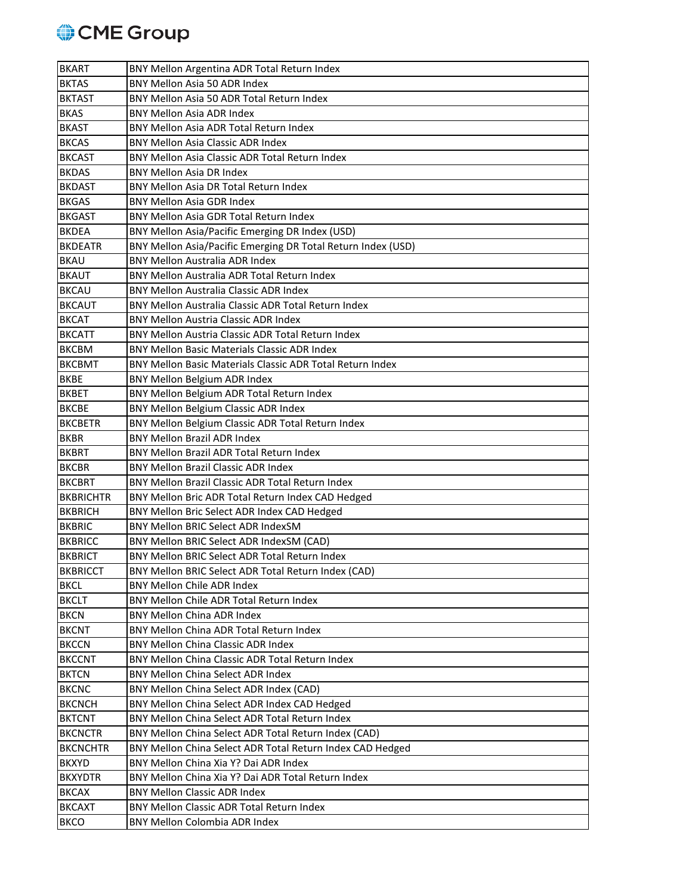

| <b>BKART</b>     | BNY Mellon Argentina ADR Total Return Index                  |
|------------------|--------------------------------------------------------------|
| <b>BKTAS</b>     | <b>BNY Mellon Asia 50 ADR Index</b>                          |
| <b>BKTAST</b>    | BNY Mellon Asia 50 ADR Total Return Index                    |
| <b>BKAS</b>      | <b>BNY Mellon Asia ADR Index</b>                             |
| <b>BKAST</b>     | BNY Mellon Asia ADR Total Return Index                       |
| <b>BKCAS</b>     | <b>BNY Mellon Asia Classic ADR Index</b>                     |
| <b>BKCAST</b>    | BNY Mellon Asia Classic ADR Total Return Index               |
| <b>BKDAS</b>     | BNY Mellon Asia DR Index                                     |
| <b>BKDAST</b>    | <b>BNY Mellon Asia DR Total Return Index</b>                 |
| <b>BKGAS</b>     | <b>BNY Mellon Asia GDR Index</b>                             |
| <b>BKGAST</b>    | BNY Mellon Asia GDR Total Return Index                       |
| <b>BKDEA</b>     | BNY Mellon Asia/Pacific Emerging DR Index (USD)              |
| <b>BKDEATR</b>   | BNY Mellon Asia/Pacific Emerging DR Total Return Index (USD) |
| <b>BKAU</b>      | <b>BNY Mellon Australia ADR Index</b>                        |
| <b>BKAUT</b>     | BNY Mellon Australia ADR Total Return Index                  |
| <b>BKCAU</b>     | <b>BNY Mellon Australia Classic ADR Index</b>                |
| <b>BKCAUT</b>    | BNY Mellon Australia Classic ADR Total Return Index          |
| <b>BKCAT</b>     | <b>BNY Mellon Austria Classic ADR Index</b>                  |
| <b>BKCATT</b>    | BNY Mellon Austria Classic ADR Total Return Index            |
| <b>BKCBM</b>     | BNY Mellon Basic Materials Classic ADR Index                 |
| <b>BKCBMT</b>    | BNY Mellon Basic Materials Classic ADR Total Return Index    |
| <b>BKBE</b>      | BNY Mellon Belgium ADR Index                                 |
| <b>BKBET</b>     | BNY Mellon Belgium ADR Total Return Index                    |
| <b>BKCBE</b>     | BNY Mellon Belgium Classic ADR Index                         |
| <b>BKCBETR</b>   | BNY Mellon Belgium Classic ADR Total Return Index            |
| <b>BKBR</b>      | <b>BNY Mellon Brazil ADR Index</b>                           |
| <b>BKBRT</b>     | BNY Mellon Brazil ADR Total Return Index                     |
| <b>BKCBR</b>     | <b>BNY Mellon Brazil Classic ADR Index</b>                   |
| <b>BKCBRT</b>    | BNY Mellon Brazil Classic ADR Total Return Index             |
| <b>BKBRICHTR</b> | BNY Mellon Bric ADR Total Return Index CAD Hedged            |
| <b>BKBRICH</b>   | BNY Mellon Bric Select ADR Index CAD Hedged                  |
| <b>BKBRIC</b>    | BNY Mellon BRIC Select ADR IndexSM                           |
| <b>BKBRICC</b>   | BNY Mellon BRIC Select ADR IndexSM (CAD)                     |
| <b>BKBRICT</b>   | BNY Mellon BRIC Select ADR Total Return Index                |
| <b>BKBRICCT</b>  | BNY Mellon BRIC Select ADR Total Return Index (CAD)          |
| <b>BKCL</b>      | BNY Mellon Chile ADR Index                                   |
| <b>BKCLT</b>     | BNY Mellon Chile ADR Total Return Index                      |
| <b>BKCN</b>      | <b>BNY Mellon China ADR Index</b>                            |
|                  |                                                              |
| <b>BKCNT</b>     | BNY Mellon China ADR Total Return Index                      |
| <b>BKCCN</b>     | <b>BNY Mellon China Classic ADR Index</b>                    |
| <b>BKCCNT</b>    | BNY Mellon China Classic ADR Total Return Index              |
| <b>BKTCN</b>     | <b>BNY Mellon China Select ADR Index</b>                     |
| <b>BKCNC</b>     | BNY Mellon China Select ADR Index (CAD)                      |
| <b>BKCNCH</b>    | BNY Mellon China Select ADR Index CAD Hedged                 |
| <b>BKTCNT</b>    | BNY Mellon China Select ADR Total Return Index               |
| <b>BKCNCTR</b>   | BNY Mellon China Select ADR Total Return Index (CAD)         |
| <b>BKCNCHTR</b>  | BNY Mellon China Select ADR Total Return Index CAD Hedged    |
| <b>BKXYD</b>     | BNY Mellon China Xia Y? Dai ADR Index                        |
| <b>BKXYDTR</b>   | BNY Mellon China Xia Y? Dai ADR Total Return Index           |
| <b>BKCAX</b>     | <b>BNY Mellon Classic ADR Index</b>                          |
| <b>BKCAXT</b>    | BNY Mellon Classic ADR Total Return Index                    |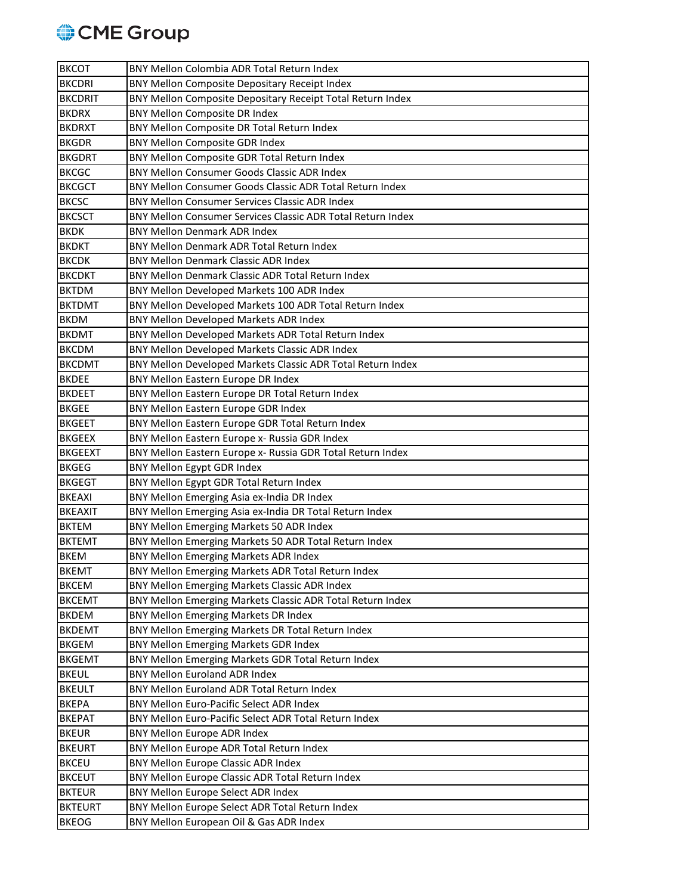

| <b>BKCOT</b>   | BNY Mellon Colombia ADR Total Return Index                  |
|----------------|-------------------------------------------------------------|
| <b>BKCDRI</b>  | BNY Mellon Composite Depositary Receipt Index               |
| <b>BKCDRIT</b> | BNY Mellon Composite Depositary Receipt Total Return Index  |
| <b>BKDRX</b>   | BNY Mellon Composite DR Index                               |
| <b>BKDRXT</b>  | BNY Mellon Composite DR Total Return Index                  |
| <b>BKGDR</b>   | BNY Mellon Composite GDR Index                              |
| <b>BKGDRT</b>  | BNY Mellon Composite GDR Total Return Index                 |
| <b>BKCGC</b>   | BNY Mellon Consumer Goods Classic ADR Index                 |
| <b>BKCGCT</b>  | BNY Mellon Consumer Goods Classic ADR Total Return Index    |
| <b>BKCSC</b>   | <b>BNY Mellon Consumer Services Classic ADR Index</b>       |
| <b>BKCSCT</b>  | BNY Mellon Consumer Services Classic ADR Total Return Index |
| <b>BKDK</b>    | <b>BNY Mellon Denmark ADR Index</b>                         |
| <b>BKDKT</b>   | BNY Mellon Denmark ADR Total Return Index                   |
| <b>BKCDK</b>   | <b>BNY Mellon Denmark Classic ADR Index</b>                 |
| <b>BKCDKT</b>  | BNY Mellon Denmark Classic ADR Total Return Index           |
| <b>BKTDM</b>   | BNY Mellon Developed Markets 100 ADR Index                  |
| <b>BKTDMT</b>  | BNY Mellon Developed Markets 100 ADR Total Return Index     |
| <b>BKDM</b>    | BNY Mellon Developed Markets ADR Index                      |
| <b>BKDMT</b>   | BNY Mellon Developed Markets ADR Total Return Index         |
| <b>BKCDM</b>   | BNY Mellon Developed Markets Classic ADR Index              |
| <b>BKCDMT</b>  | BNY Mellon Developed Markets Classic ADR Total Return Index |
| <b>BKDEE</b>   | BNY Mellon Eastern Europe DR Index                          |
| <b>BKDEET</b>  | BNY Mellon Eastern Europe DR Total Return Index             |
| <b>BKGEE</b>   | BNY Mellon Eastern Europe GDR Index                         |
| <b>BKGEET</b>  | BNY Mellon Eastern Europe GDR Total Return Index            |
| <b>BKGEEX</b>  | BNY Mellon Eastern Europe x- Russia GDR Index               |
| <b>BKGEEXT</b> | BNY Mellon Eastern Europe x- Russia GDR Total Return Index  |
| <b>BKGEG</b>   | BNY Mellon Egypt GDR Index                                  |
| <b>BKGEGT</b>  | BNY Mellon Egypt GDR Total Return Index                     |
| <b>BKEAXI</b>  | BNY Mellon Emerging Asia ex-India DR Index                  |
| <b>BKEAXIT</b> | BNY Mellon Emerging Asia ex-India DR Total Return Index     |
| <b>BKTEM</b>   | BNY Mellon Emerging Markets 50 ADR Index                    |
| <b>BKTEMT</b>  | BNY Mellon Emerging Markets 50 ADR Total Return Index       |
| <b>BKEM</b>    | BNY Mellon Emerging Markets ADR Index                       |
| <b>BKEMT</b>   | BNY Mellon Emerging Markets ADR Total Return Index          |
| <b>BKCEM</b>   | BNY Mellon Emerging Markets Classic ADR Index               |
| <b>BKCEMT</b>  | BNY Mellon Emerging Markets Classic ADR Total Return Index  |
| <b>BKDEM</b>   | BNY Mellon Emerging Markets DR Index                        |
| <b>BKDEMT</b>  | BNY Mellon Emerging Markets DR Total Return Index           |
| <b>BKGEM</b>   | BNY Mellon Emerging Markets GDR Index                       |
| <b>BKGEMT</b>  | BNY Mellon Emerging Markets GDR Total Return Index          |
| <b>BKEUL</b>   | <b>BNY Mellon Euroland ADR Index</b>                        |
| <b>BKEULT</b>  | BNY Mellon Euroland ADR Total Return Index                  |
| <b>BKEPA</b>   | BNY Mellon Euro-Pacific Select ADR Index                    |
| <b>BKEPAT</b>  | BNY Mellon Euro-Pacific Select ADR Total Return Index       |
| <b>BKEUR</b>   | BNY Mellon Europe ADR Index                                 |
| <b>BKEURT</b>  | BNY Mellon Europe ADR Total Return Index                    |
| <b>BKCEU</b>   | BNY Mellon Europe Classic ADR Index                         |
| <b>BKCEUT</b>  | BNY Mellon Europe Classic ADR Total Return Index            |
| <b>BKTEUR</b>  | BNY Mellon Europe Select ADR Index                          |
| <b>BKTEURT</b> | BNY Mellon Europe Select ADR Total Return Index             |
| <b>BKEOG</b>   | BNY Mellon European Oil & Gas ADR Index                     |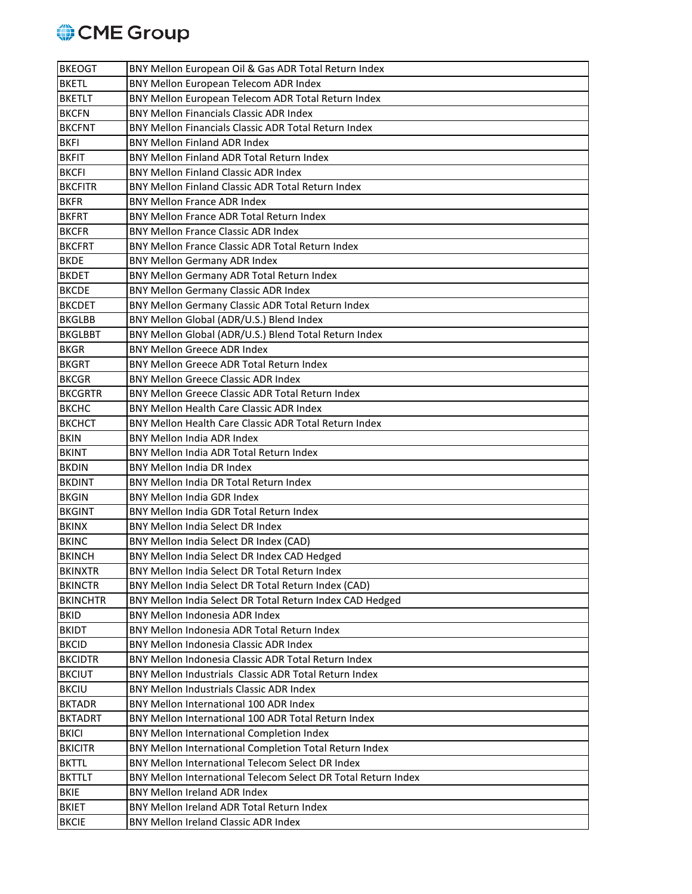

| <b>BKEOGT</b>   | BNY Mellon European Oil & Gas ADR Total Return Index          |
|-----------------|---------------------------------------------------------------|
| <b>BKETL</b>    | BNY Mellon European Telecom ADR Index                         |
| <b>BKETLT</b>   | BNY Mellon European Telecom ADR Total Return Index            |
| <b>BKCFN</b>    | <b>BNY Mellon Financials Classic ADR Index</b>                |
| <b>BKCFNT</b>   | BNY Mellon Financials Classic ADR Total Return Index          |
| <b>BKFI</b>     | <b>BNY Mellon Finland ADR Index</b>                           |
| <b>BKFIT</b>    | BNY Mellon Finland ADR Total Return Index                     |
| <b>BKCFI</b>    | <b>BNY Mellon Finland Classic ADR Index</b>                   |
| <b>BKCFITR</b>  | BNY Mellon Finland Classic ADR Total Return Index             |
| <b>BKFR</b>     | <b>BNY Mellon France ADR Index</b>                            |
| <b>BKFRT</b>    | BNY Mellon France ADR Total Return Index                      |
| <b>BKCFR</b>    | <b>BNY Mellon France Classic ADR Index</b>                    |
| <b>BKCFRT</b>   | BNY Mellon France Classic ADR Total Return Index              |
| <b>BKDE</b>     | <b>BNY Mellon Germany ADR Index</b>                           |
| <b>BKDET</b>    | BNY Mellon Germany ADR Total Return Index                     |
| <b>BKCDE</b>    | BNY Mellon Germany Classic ADR Index                          |
| <b>BKCDET</b>   | BNY Mellon Germany Classic ADR Total Return Index             |
| <b>BKGLBB</b>   | BNY Mellon Global (ADR/U.S.) Blend Index                      |
| <b>BKGLBBT</b>  | BNY Mellon Global (ADR/U.S.) Blend Total Return Index         |
| <b>BKGR</b>     | <b>BNY Mellon Greece ADR Index</b>                            |
| <b>BKGRT</b>    | BNY Mellon Greece ADR Total Return Index                      |
| <b>BKCGR</b>    | <b>BNY Mellon Greece Classic ADR Index</b>                    |
| <b>BKCGRTR</b>  | <b>BNY Mellon Greece Classic ADR Total Return Index</b>       |
| <b>BKCHC</b>    | <b>BNY Mellon Health Care Classic ADR Index</b>               |
| <b>BKCHCT</b>   | BNY Mellon Health Care Classic ADR Total Return Index         |
| <b>BKIN</b>     | <b>BNY Mellon India ADR Index</b>                             |
| <b>BKINT</b>    | BNY Mellon India ADR Total Return Index                       |
| <b>BKDIN</b>    | <b>BNY Mellon India DR Index</b>                              |
| <b>BKDINT</b>   | BNY Mellon India DR Total Return Index                        |
| <b>BKGIN</b>    | <b>BNY Mellon India GDR Index</b>                             |
| <b>BKGINT</b>   | BNY Mellon India GDR Total Return Index                       |
| <b>BKINX</b>    | BNY Mellon India Select DR Index                              |
| <b>BKINC</b>    | BNY Mellon India Select DR Index (CAD)                        |
| <b>BKINCH</b>   | BNY Mellon India Select DR Index CAD Hedged                   |
| <b>BKINXTR</b>  | BNY Mellon India Select DR Total Return Index                 |
| <b>BKINCTR</b>  | BNY Mellon India Select DR Total Return Index (CAD)           |
| <b>BKINCHTR</b> | BNY Mellon India Select DR Total Return Index CAD Hedged      |
| <b>BKID</b>     | <b>BNY Mellon Indonesia ADR Index</b>                         |
| <b>BKIDT</b>    | BNY Mellon Indonesia ADR Total Return Index                   |
| <b>BKCID</b>    | BNY Mellon Indonesia Classic ADR Index                        |
| <b>BKCIDTR</b>  | BNY Mellon Indonesia Classic ADR Total Return Index           |
| <b>BKCIUT</b>   | BNY Mellon Industrials Classic ADR Total Return Index         |
| <b>BKCIU</b>    | <b>BNY Mellon Industrials Classic ADR Index</b>               |
| <b>BKTADR</b>   | BNY Mellon International 100 ADR Index                        |
| <b>BKTADRT</b>  | BNY Mellon International 100 ADR Total Return Index           |
| <b>BKICI</b>    | BNY Mellon International Completion Index                     |
| <b>BKICITR</b>  | BNY Mellon International Completion Total Return Index        |
| <b>BKTTL</b>    | BNY Mellon International Telecom Select DR Index              |
| <b>BKTTLT</b>   | BNY Mellon International Telecom Select DR Total Return Index |
| <b>BKIE</b>     | <b>BNY Mellon Ireland ADR Index</b>                           |
| <b>BKIET</b>    | BNY Mellon Ireland ADR Total Return Index                     |
| <b>BKCIE</b>    | BNY Mellon Ireland Classic ADR Index                          |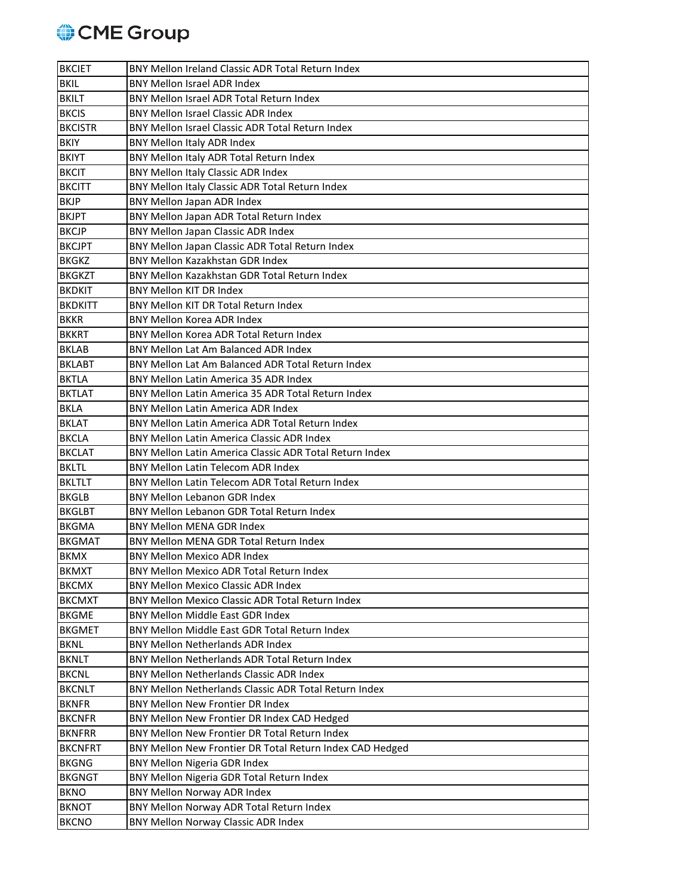## CME Group

| <b>BKCIET</b>  | BNY Mellon Ireland Classic ADR Total Return Index        |
|----------------|----------------------------------------------------------|
| <b>BKIL</b>    | <b>BNY Mellon Israel ADR Index</b>                       |
| <b>BKILT</b>   | BNY Mellon Israel ADR Total Return Index                 |
| <b>BKCIS</b>   | <b>BNY Mellon Israel Classic ADR Index</b>               |
| <b>BKCISTR</b> | BNY Mellon Israel Classic ADR Total Return Index         |
| <b>BKIY</b>    | BNY Mellon Italy ADR Index                               |
| <b>BKIYT</b>   | BNY Mellon Italy ADR Total Return Index                  |
| <b>BKCIT</b>   | BNY Mellon Italy Classic ADR Index                       |
| <b>BKCITT</b>  | BNY Mellon Italy Classic ADR Total Return Index          |
| <b>BKJP</b>    | BNY Mellon Japan ADR Index                               |
| <b>BKJPT</b>   | BNY Mellon Japan ADR Total Return Index                  |
| <b>BKCJP</b>   | BNY Mellon Japan Classic ADR Index                       |
| <b>BKCJPT</b>  | BNY Mellon Japan Classic ADR Total Return Index          |
| <b>BKGKZ</b>   | <b>BNY Mellon Kazakhstan GDR Index</b>                   |
| <b>BKGKZT</b>  | BNY Mellon Kazakhstan GDR Total Return Index             |
| <b>BKDKIT</b>  | <b>BNY Mellon KIT DR Index</b>                           |
| <b>BKDKITT</b> | BNY Mellon KIT DR Total Return Index                     |
| <b>BKKR</b>    | <b>BNY Mellon Korea ADR Index</b>                        |
| <b>BKKRT</b>   | BNY Mellon Korea ADR Total Return Index                  |
| <b>BKLAB</b>   | BNY Mellon Lat Am Balanced ADR Index                     |
| <b>BKLABT</b>  | BNY Mellon Lat Am Balanced ADR Total Return Index        |
| <b>BKTLA</b>   | BNY Mellon Latin America 35 ADR Index                    |
| <b>BKTLAT</b>  | BNY Mellon Latin America 35 ADR Total Return Index       |
| <b>BKLA</b>    | <b>BNY Mellon Latin America ADR Index</b>                |
| <b>BKLAT</b>   | BNY Mellon Latin America ADR Total Return Index          |
| <b>BKCLA</b>   | <b>BNY Mellon Latin America Classic ADR Index</b>        |
| <b>BKCLAT</b>  | BNY Mellon Latin America Classic ADR Total Return Index  |
| <b>BKLTL</b>   | <b>BNY Mellon Latin Telecom ADR Index</b>                |
| <b>BKLTLT</b>  | BNY Mellon Latin Telecom ADR Total Return Index          |
| <b>BKGLB</b>   | <b>BNY Mellon Lebanon GDR Index</b>                      |
| <b>BKGLBT</b>  | BNY Mellon Lebanon GDR Total Return Index                |
| <b>BKGMA</b>   | <b>BNY Mellon MENA GDR Index</b>                         |
| <b>BKGMAT</b>  | BNY Mellon MENA GDR Total Return Index                   |
| <b>BKMX</b>    | <b>BNY Mellon Mexico ADR Index</b>                       |
| <b>BKMXT</b>   | BNY Mellon Mexico ADR Total Return Index                 |
| <b>BKCMX</b>   | <b>BNY Mellon Mexico Classic ADR Index</b>               |
| <b>BKCMXT</b>  | BNY Mellon Mexico Classic ADR Total Return Index         |
| <b>BKGME</b>   | BNY Mellon Middle East GDR Index                         |
| <b>BKGMET</b>  | BNY Mellon Middle East GDR Total Return Index            |
| <b>BKNL</b>    | BNY Mellon Netherlands ADR Index                         |
| <b>BKNLT</b>   | BNY Mellon Netherlands ADR Total Return Index            |
| <b>BKCNL</b>   | BNY Mellon Netherlands Classic ADR Index                 |
| <b>BKCNLT</b>  | BNY Mellon Netherlands Classic ADR Total Return Index    |
| <b>BKNFR</b>   | BNY Mellon New Frontier DR Index                         |
| <b>BKCNFR</b>  | BNY Mellon New Frontier DR Index CAD Hedged              |
| <b>BKNFRR</b>  | BNY Mellon New Frontier DR Total Return Index            |
| <b>BKCNFRT</b> | BNY Mellon New Frontier DR Total Return Index CAD Hedged |
| <b>BKGNG</b>   | <b>BNY Mellon Nigeria GDR Index</b>                      |
| <b>BKGNGT</b>  | BNY Mellon Nigeria GDR Total Return Index                |
| <b>BKNO</b>    | BNY Mellon Norway ADR Index                              |
| <b>BKNOT</b>   | BNY Mellon Norway ADR Total Return Index                 |
| <b>BKCNO</b>   | BNY Mellon Norway Classic ADR Index                      |
|                |                                                          |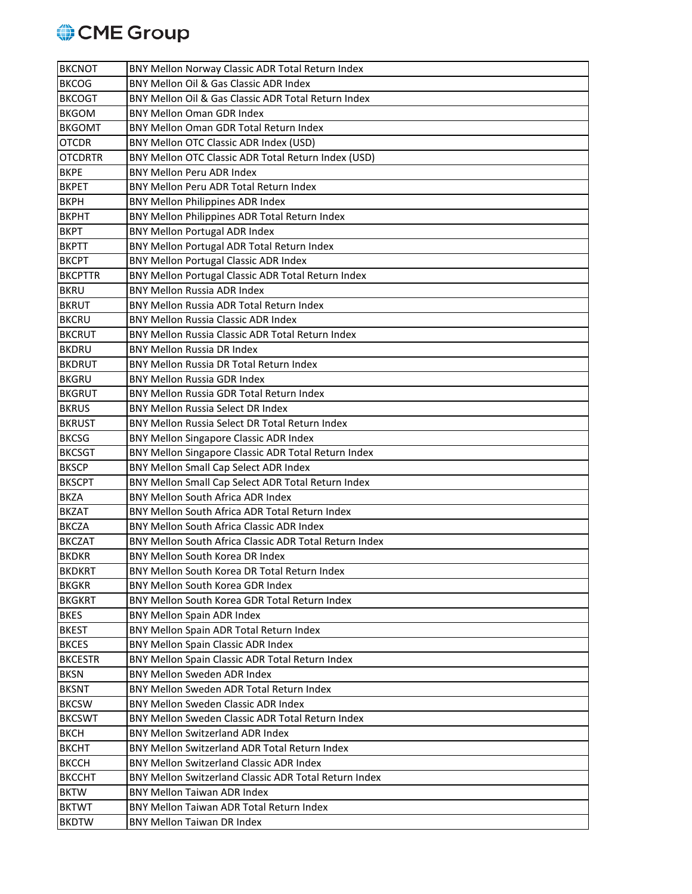

| <b>BKCNOT</b>  | BNY Mellon Norway Classic ADR Total Return Index       |
|----------------|--------------------------------------------------------|
| <b>BKCOG</b>   | BNY Mellon Oil & Gas Classic ADR Index                 |
| <b>BKCOGT</b>  | BNY Mellon Oil & Gas Classic ADR Total Return Index    |
| <b>BKGOM</b>   | <b>BNY Mellon Oman GDR Index</b>                       |
| <b>BKGOMT</b>  | BNY Mellon Oman GDR Total Return Index                 |
| <b>OTCDR</b>   | BNY Mellon OTC Classic ADR Index (USD)                 |
| <b>OTCDRTR</b> | BNY Mellon OTC Classic ADR Total Return Index (USD)    |
| <b>BKPE</b>    | <b>BNY Mellon Peru ADR Index</b>                       |
| <b>BKPET</b>   | BNY Mellon Peru ADR Total Return Index                 |
| <b>BKPH</b>    | BNY Mellon Philippines ADR Index                       |
| <b>BKPHT</b>   | BNY Mellon Philippines ADR Total Return Index          |
| <b>BKPT</b>    | <b>BNY Mellon Portugal ADR Index</b>                   |
| <b>BKPTT</b>   | BNY Mellon Portugal ADR Total Return Index             |
| <b>BKCPT</b>   | <b>BNY Mellon Portugal Classic ADR Index</b>           |
| <b>BKCPTTR</b> | BNY Mellon Portugal Classic ADR Total Return Index     |
| <b>BKRU</b>    | <b>BNY Mellon Russia ADR Index</b>                     |
| <b>BKRUT</b>   | BNY Mellon Russia ADR Total Return Index               |
| <b>BKCRU</b>   | <b>BNY Mellon Russia Classic ADR Index</b>             |
| <b>BKCRUT</b>  | BNY Mellon Russia Classic ADR Total Return Index       |
| <b>BKDRU</b>   | <b>BNY Mellon Russia DR Index</b>                      |
| <b>BKDRUT</b>  | BNY Mellon Russia DR Total Return Index                |
| <b>BKGRU</b>   | <b>BNY Mellon Russia GDR Index</b>                     |
| <b>BKGRUT</b>  | BNY Mellon Russia GDR Total Return Index               |
| <b>BKRUS</b>   | <b>BNY Mellon Russia Select DR Index</b>               |
| <b>BKRUST</b>  | BNY Mellon Russia Select DR Total Return Index         |
| <b>BKCSG</b>   | BNY Mellon Singapore Classic ADR Index                 |
| <b>BKCSGT</b>  | BNY Mellon Singapore Classic ADR Total Return Index    |
| <b>BKSCP</b>   | BNY Mellon Small Cap Select ADR Index                  |
| <b>BKSCPT</b>  | BNY Mellon Small Cap Select ADR Total Return Index     |
| <b>BKZA</b>    | <b>BNY Mellon South Africa ADR Index</b>               |
| <b>BKZAT</b>   | BNY Mellon South Africa ADR Total Return Index         |
| <b>BKCZA</b>   | <b>BNY Mellon South Africa Classic ADR Index</b>       |
| <b>BKCZAT</b>  | BNY Mellon South Africa Classic ADR Total Return Index |
| <b>BKDKR</b>   | BNY Mellon South Korea DR Index                        |
| <b>BKDKRT</b>  | BNY Mellon South Korea DR Total Return Index           |
| <b>BKGKR</b>   | BNY Mellon South Korea GDR Index                       |
| <b>BKGKRT</b>  | BNY Mellon South Korea GDR Total Return Index          |
| <b>BKES</b>    | <b>BNY Mellon Spain ADR Index</b>                      |
| <b>BKEST</b>   | BNY Mellon Spain ADR Total Return Index                |
| <b>BKCES</b>   | BNY Mellon Spain Classic ADR Index                     |
| <b>BKCESTR</b> | BNY Mellon Spain Classic ADR Total Return Index        |
| <b>BKSN</b>    | <b>BNY Mellon Sweden ADR Index</b>                     |
| <b>BKSNT</b>   | BNY Mellon Sweden ADR Total Return Index               |
| <b>BKCSW</b>   | BNY Mellon Sweden Classic ADR Index                    |
| <b>BKCSWT</b>  | BNY Mellon Sweden Classic ADR Total Return Index       |
| <b>BKCH</b>    | <b>BNY Mellon Switzerland ADR Index</b>                |
| <b>BKCHT</b>   | BNY Mellon Switzerland ADR Total Return Index          |
| <b>BKCCH</b>   | <b>BNY Mellon Switzerland Classic ADR Index</b>        |
| <b>BKCCHT</b>  | BNY Mellon Switzerland Classic ADR Total Return Index  |
| <b>BKTW</b>    | <b>BNY Mellon Taiwan ADR Index</b>                     |
| <b>BKTWT</b>   | BNY Mellon Taiwan ADR Total Return Index               |
| <b>BKDTW</b>   | <b>BNY Mellon Taiwan DR Index</b>                      |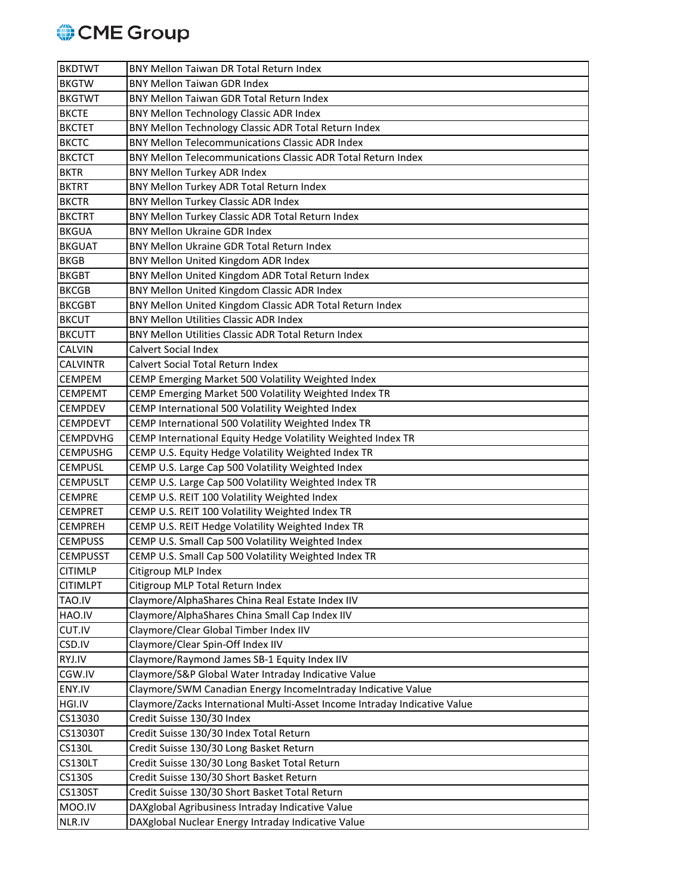

| <b>BKDTWT</b>   | BNY Mellon Taiwan DR Total Return Index                                   |
|-----------------|---------------------------------------------------------------------------|
| <b>BKGTW</b>    | <b>BNY Mellon Taiwan GDR Index</b>                                        |
| <b>BKGTWT</b>   | BNY Mellon Taiwan GDR Total Return Index                                  |
| <b>BKCTE</b>    | BNY Mellon Technology Classic ADR Index                                   |
| <b>BKCTET</b>   | BNY Mellon Technology Classic ADR Total Return Index                      |
| <b>BKCTC</b>    | <b>BNY Mellon Telecommunications Classic ADR Index</b>                    |
| <b>BKCTCT</b>   | BNY Mellon Telecommunications Classic ADR Total Return Index              |
| <b>BKTR</b>     | BNY Mellon Turkey ADR Index                                               |
| <b>BKTRT</b>    | BNY Mellon Turkey ADR Total Return Index                                  |
| <b>BKCTR</b>    | <b>BNY Mellon Turkey Classic ADR Index</b>                                |
| <b>BKCTRT</b>   | BNY Mellon Turkey Classic ADR Total Return Index                          |
| <b>BKGUA</b>    | <b>BNY Mellon Ukraine GDR Index</b>                                       |
| <b>BKGUAT</b>   | BNY Mellon Ukraine GDR Total Return Index                                 |
| <b>BKGB</b>     | BNY Mellon United Kingdom ADR Index                                       |
| <b>BKGBT</b>    | BNY Mellon United Kingdom ADR Total Return Index                          |
| <b>BKCGB</b>    | BNY Mellon United Kingdom Classic ADR Index                               |
| <b>BKCGBT</b>   | BNY Mellon United Kingdom Classic ADR Total Return Index                  |
| <b>BKCUT</b>    | <b>BNY Mellon Utilities Classic ADR Index</b>                             |
| <b>BKCUTT</b>   | BNY Mellon Utilities Classic ADR Total Return Index                       |
| <b>CALVIN</b>   | <b>Calvert Social Index</b>                                               |
| <b>CALVINTR</b> | Calvert Social Total Return Index                                         |
| <b>CEMPEM</b>   | CEMP Emerging Market 500 Volatility Weighted Index                        |
| <b>CEMPEMT</b>  | CEMP Emerging Market 500 Volatility Weighted Index TR                     |
| <b>CEMPDEV</b>  | CEMP International 500 Volatility Weighted Index                          |
| <b>CEMPDEVT</b> | CEMP International 500 Volatility Weighted Index TR                       |
| <b>CEMPDVHG</b> | CEMP International Equity Hedge Volatility Weighted Index TR              |
| <b>CEMPUSHG</b> | CEMP U.S. Equity Hedge Volatility Weighted Index TR                       |
| <b>CEMPUSL</b>  | CEMP U.S. Large Cap 500 Volatility Weighted Index                         |
| <b>CEMPUSLT</b> | CEMP U.S. Large Cap 500 Volatility Weighted Index TR                      |
| <b>CEMPRE</b>   | CEMP U.S. REIT 100 Volatility Weighted Index                              |
| <b>CEMPRET</b>  | CEMP U.S. REIT 100 Volatility Weighted Index TR                           |
| <b>CEMPREH</b>  | CEMP U.S. REIT Hedge Volatility Weighted Index TR                         |
| <b>CEMPUSS</b>  | CEMP U.S. Small Cap 500 Volatility Weighted Index                         |
| <b>CEMPUSST</b> | CEMP U.S. Small Cap 500 Volatility Weighted Index TR                      |
| <b>CITIMLP</b>  | Citigroup MLP Index                                                       |
| <b>CITIMLPT</b> | Citigroup MLP Total Return Index                                          |
| TAO.IV          | Claymore/AlphaShares China Real Estate Index IIV                          |
| HAO.IV          | Claymore/AlphaShares China Small Cap Index IIV                            |
| CUT.IV          | Claymore/Clear Global Timber Index IIV                                    |
| CSD.IV          | Claymore/Clear Spin-Off Index IIV                                         |
| RYJ.IV          | Claymore/Raymond James SB-1 Equity Index IIV                              |
| CGW.IV          | Claymore/S&P Global Water Intraday Indicative Value                       |
| ENY.IV          | Claymore/SWM Canadian Energy IncomeIntraday Indicative Value              |
| HGI.IV          | Claymore/Zacks International Multi-Asset Income Intraday Indicative Value |
| CS13030         | Credit Suisse 130/30 Index                                                |
| <b>CS13030T</b> | Credit Suisse 130/30 Index Total Return                                   |
| <b>CS130L</b>   | Credit Suisse 130/30 Long Basket Return                                   |
| <b>CS130LT</b>  | Credit Suisse 130/30 Long Basket Total Return                             |
| <b>CS130S</b>   | Credit Suisse 130/30 Short Basket Return                                  |
| <b>CS130ST</b>  | Credit Suisse 130/30 Short Basket Total Return                            |
| MOO.IV          | DAXglobal Agribusiness Intraday Indicative Value                          |
| NLR.IV          | DAXglobal Nuclear Energy Intraday Indicative Value                        |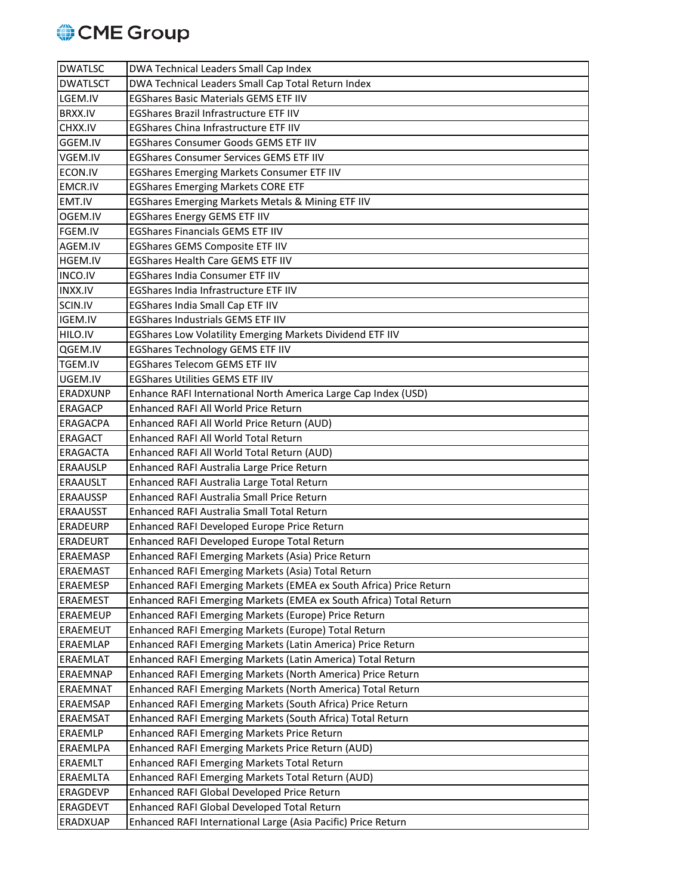

| <b>DWATLSC</b>  | DWA Technical Leaders Small Cap Index                              |
|-----------------|--------------------------------------------------------------------|
| <b>DWATLSCT</b> | DWA Technical Leaders Small Cap Total Return Index                 |
| LGEM.IV         | <b>EGShares Basic Materials GEMS ETF IIV</b>                       |
| <b>BRXX.IV</b>  | <b>EGShares Brazil Infrastructure ETF IIV</b>                      |
| CHXX.IV         | EGShares China Infrastructure ETF IIV                              |
| GGEM.IV         | <b>EGShares Consumer Goods GEMS ETF IIV</b>                        |
| VGEM.IV         | <b>EGShares Consumer Services GEMS ETF IIV</b>                     |
| ECON.IV         | <b>EGShares Emerging Markets Consumer ETF IIV</b>                  |
| <b>EMCR.IV</b>  | <b>EGShares Emerging Markets CORE ETF</b>                          |
| EMT.IV          | EGShares Emerging Markets Metals & Mining ETF IIV                  |
| OGEM.IV         | <b>EGShares Energy GEMS ETF IIV</b>                                |
| FGEM.IV         | <b>EGShares Financials GEMS ETF IIV</b>                            |
| AGEM.IV         | <b>EGShares GEMS Composite ETF IIV</b>                             |
| <b>HGEM.IV</b>  | <b>EGShares Health Care GEMS ETF IIV</b>                           |
| <b>INCO.IV</b>  | <b>EGShares India Consumer ETF IIV</b>                             |
| <b>INXX.IV</b>  | EGShares India Infrastructure ETF IIV                              |
| SCIN.IV         | EGShares India Small Cap ETF IIV                                   |
| IGEM.IV         | <b>EGShares Industrials GEMS ETF IIV</b>                           |
| HILO.IV         | EGShares Low Volatility Emerging Markets Dividend ETF IIV          |
| QGEM.IV         | <b>EGShares Technology GEMS ETF IIV</b>                            |
| TGEM.IV         | <b>EGShares Telecom GEMS ETF IIV</b>                               |
| UGEM.IV         | <b>EGShares Utilities GEMS ETF IIV</b>                             |
| <b>ERADXUNP</b> | Enhance RAFI International North America Large Cap Index (USD)     |
| <b>ERAGACP</b>  | Enhanced RAFI All World Price Return                               |
| <b>ERAGACPA</b> | Enhanced RAFI All World Price Return (AUD)                         |
| <b>ERAGACT</b>  | Enhanced RAFI All World Total Return                               |
| <b>ERAGACTA</b> | Enhanced RAFI All World Total Return (AUD)                         |
| <b>ERAAUSLP</b> | Enhanced RAFI Australia Large Price Return                         |
| <b>ERAAUSLT</b> | Enhanced RAFI Australia Large Total Return                         |
| <b>ERAAUSSP</b> | Enhanced RAFI Australia Small Price Return                         |
| <b>ERAAUSST</b> | Enhanced RAFI Australia Small Total Return                         |
| <b>ERADEURP</b> | Enhanced RAFI Developed Europe Price Return                        |
| <b>ERADEURT</b> | Enhanced RAFI Developed Europe Total Return                        |
| ERAEMASP        | Enhanced RAFI Emerging Markets (Asia) Price Return                 |
| <b>ERAEMAST</b> | Enhanced RAFI Emerging Markets (Asia) Total Return                 |
| <b>ERAEMESP</b> | Enhanced RAFI Emerging Markets (EMEA ex South Africa) Price Return |
| <b>ERAEMEST</b> | Enhanced RAFI Emerging Markets (EMEA ex South Africa) Total Return |
| <b>ERAEMEUP</b> | Enhanced RAFI Emerging Markets (Europe) Price Return               |
| <b>ERAEMEUT</b> | Enhanced RAFI Emerging Markets (Europe) Total Return               |
| <b>ERAEMLAP</b> | Enhanced RAFI Emerging Markets (Latin America) Price Return        |
| <b>ERAEMLAT</b> | Enhanced RAFI Emerging Markets (Latin America) Total Return        |
| <b>ERAEMNAP</b> | Enhanced RAFI Emerging Markets (North America) Price Return        |
| <b>ERAEMNAT</b> | Enhanced RAFI Emerging Markets (North America) Total Return        |
| <b>ERAEMSAP</b> | Enhanced RAFI Emerging Markets (South Africa) Price Return         |
| <b>ERAEMSAT</b> | Enhanced RAFI Emerging Markets (South Africa) Total Return         |
| <b>ERAEMLP</b>  | Enhanced RAFI Emerging Markets Price Return                        |
| ERAEMLPA        | Enhanced RAFI Emerging Markets Price Return (AUD)                  |
| ERAEMLT         | Enhanced RAFI Emerging Markets Total Return                        |
| ERAEMLTA        | Enhanced RAFI Emerging Markets Total Return (AUD)                  |
| <b>ERAGDEVP</b> | Enhanced RAFI Global Developed Price Return                        |
| <b>ERAGDEVT</b> | Enhanced RAFI Global Developed Total Return                        |
| <b>ERADXUAP</b> | Enhanced RAFI International Large (Asia Pacific) Price Return      |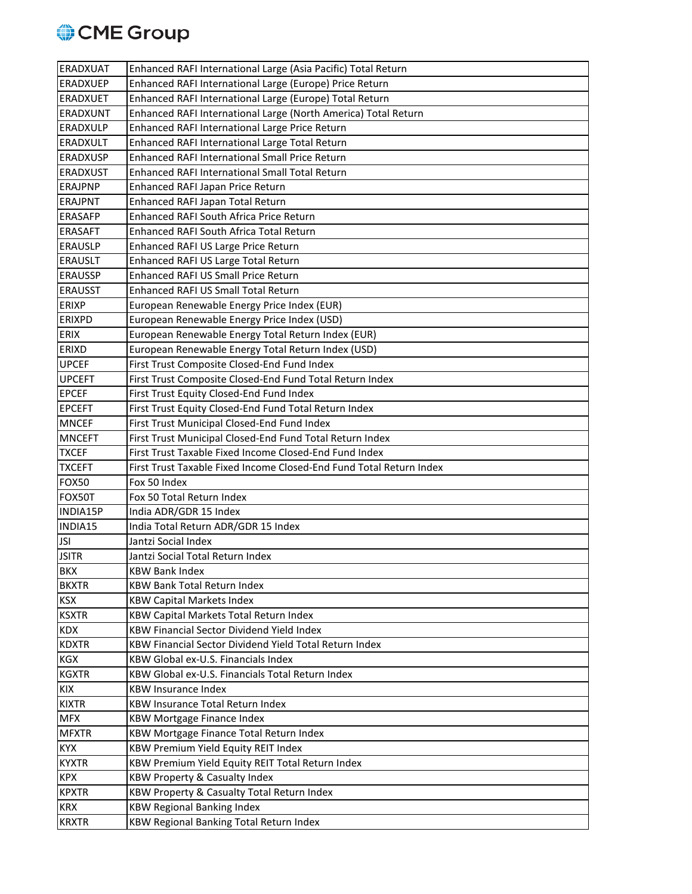

| <b>ERADXUAT</b>            | Enhanced RAFI International Large (Asia Pacific) Total Return                |
|----------------------------|------------------------------------------------------------------------------|
| <b>ERADXUEP</b>            | Enhanced RAFI International Large (Europe) Price Return                      |
| <b>ERADXUET</b>            | Enhanced RAFI International Large (Europe) Total Return                      |
| <b>ERADXUNT</b>            | Enhanced RAFI International Large (North America) Total Return               |
| <b>ERADXULP</b>            | Enhanced RAFI International Large Price Return                               |
| <b>ERADXULT</b>            | Enhanced RAFI International Large Total Return                               |
| <b>ERADXUSP</b>            | Enhanced RAFI International Small Price Return                               |
| <b>ERADXUST</b>            | <b>Enhanced RAFI International Small Total Return</b>                        |
| <b>ERAJPNP</b>             | Enhanced RAFI Japan Price Return                                             |
| <b>ERAJPNT</b>             | Enhanced RAFI Japan Total Return                                             |
| <b>ERASAFP</b>             | <b>Enhanced RAFI South Africa Price Return</b>                               |
| <b>ERASAFT</b>             | Enhanced RAFI South Africa Total Return                                      |
| <b>ERAUSLP</b>             | Enhanced RAFI US Large Price Return                                          |
| <b>ERAUSLT</b>             | Enhanced RAFI US Large Total Return                                          |
| <b>ERAUSSP</b>             | Enhanced RAFI US Small Price Return                                          |
| <b>ERAUSST</b>             | <b>Enhanced RAFI US Small Total Return</b>                                   |
| <b>ERIXP</b>               | European Renewable Energy Price Index (EUR)                                  |
| <b>ERIXPD</b>              | European Renewable Energy Price Index (USD)                                  |
| <b>ERIX</b>                | European Renewable Energy Total Return Index (EUR)                           |
| <b>ERIXD</b>               | European Renewable Energy Total Return Index (USD)                           |
| <b>UPCEF</b>               | First Trust Composite Closed-End Fund Index                                  |
| <b>UPCEFT</b>              | First Trust Composite Closed-End Fund Total Return Index                     |
| <b>EPCEF</b>               | First Trust Equity Closed-End Fund Index                                     |
| <b>EPCEFT</b>              | First Trust Equity Closed-End Fund Total Return Index                        |
| <b>MNCEF</b>               | First Trust Municipal Closed-End Fund Index                                  |
| <b>MNCEFT</b>              | First Trust Municipal Closed-End Fund Total Return Index                     |
|                            |                                                                              |
| <b>TXCEF</b>               | First Trust Taxable Fixed Income Closed-End Fund Index                       |
| <b>TXCEFT</b>              | First Trust Taxable Fixed Income Closed-End Fund Total Return Index          |
| <b>FOX50</b>               | Fox 50 Index                                                                 |
| FOX50T                     | Fox 50 Total Return Index                                                    |
| INDIA15P                   | India ADR/GDR 15 Index                                                       |
| INDIA15                    | India Total Return ADR/GDR 15 Index                                          |
| <b>JSI</b>                 | Jantzi Social Index                                                          |
| <b>JSITR</b>               | Jantzi Social Total Return Index                                             |
| <b>BKX</b>                 | <b>KBW Bank Index</b>                                                        |
| <b>BKXTR</b>               | <b>KBW Bank Total Return Index</b>                                           |
| <b>KSX</b>                 | <b>KBW Capital Markets Index</b>                                             |
| <b>KSXTR</b>               | KBW Capital Markets Total Return Index                                       |
| <b>KDX</b>                 | <b>KBW Financial Sector Dividend Yield Index</b>                             |
| <b>KDXTR</b>               | KBW Financial Sector Dividend Yield Total Return Index                       |
| KGX                        | KBW Global ex-U.S. Financials Index                                          |
| <b>KGXTR</b>               | KBW Global ex-U.S. Financials Total Return Index                             |
| KIX                        | <b>KBW Insurance Index</b>                                                   |
| <b>KIXTR</b>               | <b>KBW Insurance Total Return Index</b>                                      |
| <b>MFX</b>                 | <b>KBW Mortgage Finance Index</b>                                            |
| <b>MFXTR</b>               | KBW Mortgage Finance Total Return Index                                      |
| <b>KYX</b>                 | KBW Premium Yield Equity REIT Index                                          |
| <b>KYXTR</b>               | KBW Premium Yield Equity REIT Total Return Index                             |
| <b>KPX</b>                 | KBW Property & Casualty Index                                                |
| <b>KPXTR</b>               | KBW Property & Casualty Total Return Index                                   |
| <b>KRX</b><br><b>KRXTR</b> | <b>KBW Regional Banking Index</b><br>KBW Regional Banking Total Return Index |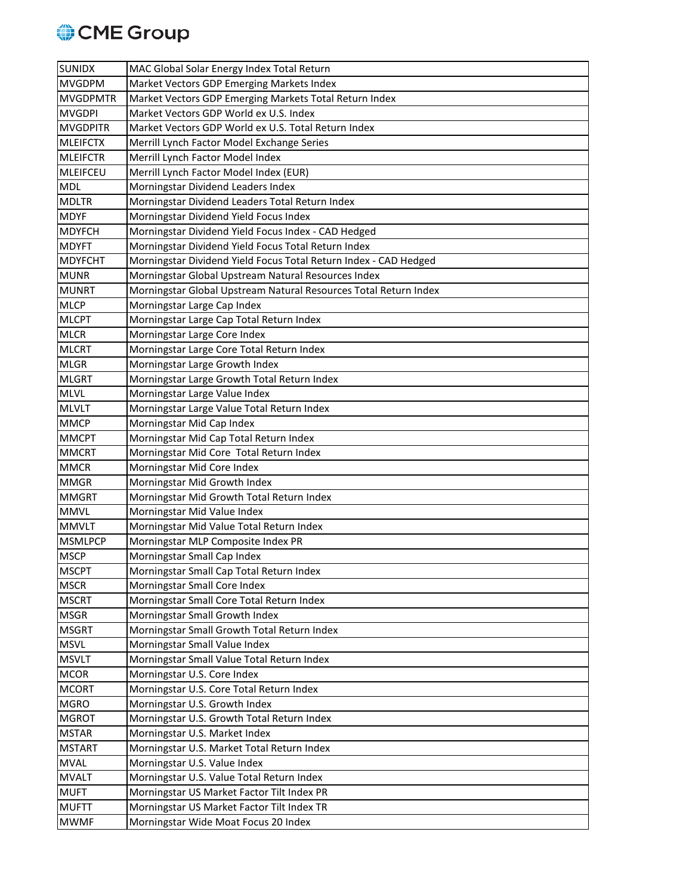

| <b>SUNIDX</b>   | MAC Global Solar Energy Index Total Return                       |
|-----------------|------------------------------------------------------------------|
| <b>MVGDPM</b>   | Market Vectors GDP Emerging Markets Index                        |
| <b>MVGDPMTR</b> | Market Vectors GDP Emerging Markets Total Return Index           |
| <b>MVGDPI</b>   | Market Vectors GDP World ex U.S. Index                           |
| <b>MVGDPITR</b> | Market Vectors GDP World ex U.S. Total Return Index              |
| <b>MLEIFCTX</b> | Merrill Lynch Factor Model Exchange Series                       |
| <b>MLEIFCTR</b> | Merrill Lynch Factor Model Index                                 |
| MLEIFCEU        | Merrill Lynch Factor Model Index (EUR)                           |
| <b>MDL</b>      | Morningstar Dividend Leaders Index                               |
| <b>MDLTR</b>    | Morningstar Dividend Leaders Total Return Index                  |
| <b>MDYF</b>     | Morningstar Dividend Yield Focus Index                           |
| <b>MDYFCH</b>   | Morningstar Dividend Yield Focus Index - CAD Hedged              |
| <b>MDYFT</b>    | Morningstar Dividend Yield Focus Total Return Index              |
| <b>MDYFCHT</b>  | Morningstar Dividend Yield Focus Total Return Index - CAD Hedged |
| <b>MUNR</b>     | Morningstar Global Upstream Natural Resources Index              |
| <b>MUNRT</b>    | Morningstar Global Upstream Natural Resources Total Return Index |
| <b>MLCP</b>     | Morningstar Large Cap Index                                      |
| <b>MLCPT</b>    | Morningstar Large Cap Total Return Index                         |
| <b>MLCR</b>     | Morningstar Large Core Index                                     |
| <b>MLCRT</b>    | Morningstar Large Core Total Return Index                        |
| <b>MLGR</b>     | Morningstar Large Growth Index                                   |
| <b>MLGRT</b>    | Morningstar Large Growth Total Return Index                      |
| <b>MLVL</b>     | Morningstar Large Value Index                                    |
| <b>MLVLT</b>    | Morningstar Large Value Total Return Index                       |
| <b>MMCP</b>     | Morningstar Mid Cap Index                                        |
| <b>MMCPT</b>    | Morningstar Mid Cap Total Return Index                           |
| <b>MMCRT</b>    | Morningstar Mid Core Total Return Index                          |
| <b>MMCR</b>     | Morningstar Mid Core Index                                       |
| <b>MMGR</b>     | Morningstar Mid Growth Index                                     |
| <b>MMGRT</b>    | Morningstar Mid Growth Total Return Index                        |
| <b>MMVL</b>     | Morningstar Mid Value Index                                      |
| <b>MMVLT</b>    | Morningstar Mid Value Total Return Index                         |
| <b>MSMLPCP</b>  | Morningstar MLP Composite Index PR                               |
| <b>MSCP</b>     | Morningstar Small Cap Index                                      |
| <b>MSCPT</b>    | Morningstar Small Cap Total Return Index                         |
| <b>MSCR</b>     | Morningstar Small Core Index                                     |
| <b>MSCRT</b>    | Morningstar Small Core Total Return Index                        |
| <b>MSGR</b>     | Morningstar Small Growth Index                                   |
| <b>MSGRT</b>    | Morningstar Small Growth Total Return Index                      |
| <b>MSVL</b>     | Morningstar Small Value Index                                    |
| <b>MSVLT</b>    | Morningstar Small Value Total Return Index                       |
| <b>MCOR</b>     | Morningstar U.S. Core Index                                      |
| <b>MCORT</b>    | Morningstar U.S. Core Total Return Index                         |
| <b>MGRO</b>     | Morningstar U.S. Growth Index                                    |
| <b>MGROT</b>    | Morningstar U.S. Growth Total Return Index                       |
| <b>MSTAR</b>    | Morningstar U.S. Market Index                                    |
| <b>MSTART</b>   | Morningstar U.S. Market Total Return Index                       |
| <b>MVAL</b>     | Morningstar U.S. Value Index                                     |
| <b>MVALT</b>    | Morningstar U.S. Value Total Return Index                        |
| <b>MUFT</b>     | Morningstar US Market Factor Tilt Index PR                       |
| <b>MUFTT</b>    | Morningstar US Market Factor Tilt Index TR                       |
| <b>MWMF</b>     | Morningstar Wide Moat Focus 20 Index                             |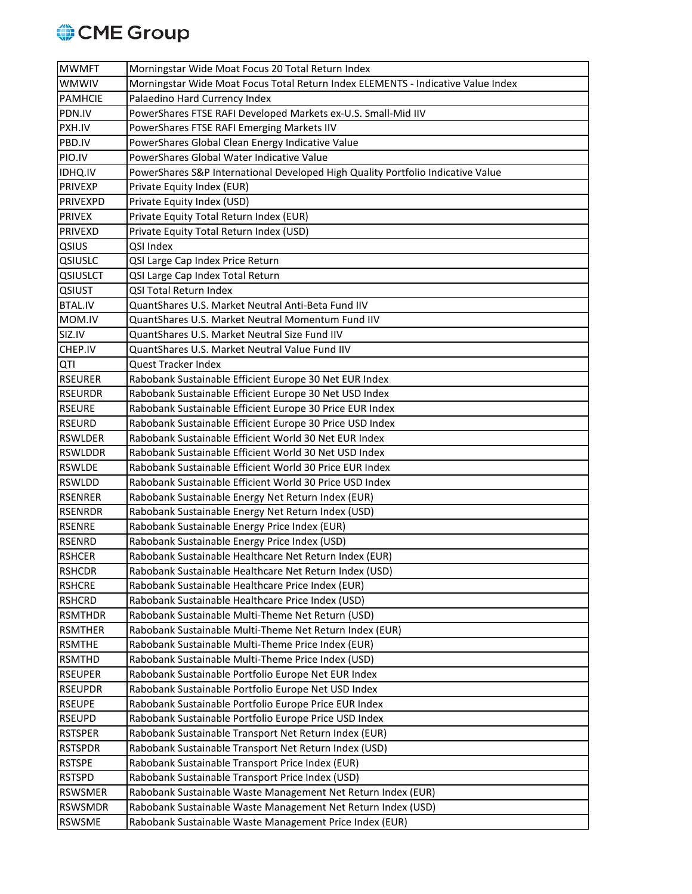

| <b>MWMFT</b>    | Morningstar Wide Moat Focus 20 Total Return Index                                |
|-----------------|----------------------------------------------------------------------------------|
| <b>WMWIV</b>    | Morningstar Wide Moat Focus Total Return Index ELEMENTS - Indicative Value Index |
| <b>PAMHCIE</b>  | Palaedino Hard Currency Index                                                    |
| PDN.IV          | PowerShares FTSE RAFI Developed Markets ex-U.S. Small-Mid IIV                    |
| PXH.IV          | PowerShares FTSE RAFI Emerging Markets IIV                                       |
| PBD.IV          | PowerShares Global Clean Energy Indicative Value                                 |
| PIO.IV          | PowerShares Global Water Indicative Value                                        |
| IDHQ.IV         | PowerShares S&P International Developed High Quality Portfolio Indicative Value  |
| <b>PRIVEXP</b>  | Private Equity Index (EUR)                                                       |
| <b>PRIVEXPD</b> | Private Equity Index (USD)                                                       |
| <b>PRIVEX</b>   | Private Equity Total Return Index (EUR)                                          |
| PRIVEXD         | Private Equity Total Return Index (USD)                                          |
| QSIUS           | QSI Index                                                                        |
| QSIUSLC         | QSI Large Cap Index Price Return                                                 |
| <b>QSIUSLCT</b> | QSI Large Cap Index Total Return                                                 |
| QSIUST          | QSI Total Return Index                                                           |
| <b>BTAL.IV</b>  | QuantShares U.S. Market Neutral Anti-Beta Fund IIV                               |
| MOM.IV          | QuantShares U.S. Market Neutral Momentum Fund IIV                                |
| SIZ.IV          | QuantShares U.S. Market Neutral Size Fund IIV                                    |
| CHEP.IV         | QuantShares U.S. Market Neutral Value Fund IIV                                   |
| QTI             | Quest Tracker Index                                                              |
| <b>RSEURER</b>  | Rabobank Sustainable Efficient Europe 30 Net EUR Index                           |
| <b>RSEURDR</b>  | Rabobank Sustainable Efficient Europe 30 Net USD Index                           |
| <b>RSEURE</b>   | Rabobank Sustainable Efficient Europe 30 Price EUR Index                         |
| <b>RSEURD</b>   | Rabobank Sustainable Efficient Europe 30 Price USD Index                         |
| RSWLDER         | Rabobank Sustainable Efficient World 30 Net EUR Index                            |
| <b>RSWLDDR</b>  | Rabobank Sustainable Efficient World 30 Net USD Index                            |
| <b>RSWLDE</b>   | Rabobank Sustainable Efficient World 30 Price EUR Index                          |
| <b>RSWLDD</b>   | Rabobank Sustainable Efficient World 30 Price USD Index                          |
| <b>RSENRER</b>  | Rabobank Sustainable Energy Net Return Index (EUR)                               |
| <b>RSENRDR</b>  | Rabobank Sustainable Energy Net Return Index (USD)                               |
| <b>RSENRE</b>   | Rabobank Sustainable Energy Price Index (EUR)                                    |
| <b>RSENRD</b>   | Rabobank Sustainable Energy Price Index (USD)                                    |
| <b>RSHCER</b>   | Rabobank Sustainable Healthcare Net Return Index (EUR)                           |
| <b>RSHCDR</b>   | Rabobank Sustainable Healthcare Net Return Index (USD)                           |
| <b>RSHCRE</b>   | Rabobank Sustainable Healthcare Price Index (EUR)                                |
| <b>RSHCRD</b>   | Rabobank Sustainable Healthcare Price Index (USD)                                |
| <b>RSMTHDR</b>  | Rabobank Sustainable Multi-Theme Net Return (USD)                                |
| <b>RSMTHER</b>  | Rabobank Sustainable Multi-Theme Net Return Index (EUR)                          |
| <b>RSMTHE</b>   | Rabobank Sustainable Multi-Theme Price Index (EUR)                               |
| <b>RSMTHD</b>   | Rabobank Sustainable Multi-Theme Price Index (USD)                               |
| <b>RSEUPER</b>  | Rabobank Sustainable Portfolio Europe Net EUR Index                              |
| <b>RSEUPDR</b>  | Rabobank Sustainable Portfolio Europe Net USD Index                              |
| <b>RSEUPE</b>   | Rabobank Sustainable Portfolio Europe Price EUR Index                            |
| <b>RSEUPD</b>   | Rabobank Sustainable Portfolio Europe Price USD Index                            |
| <b>RSTSPER</b>  | Rabobank Sustainable Transport Net Return Index (EUR)                            |
| <b>RSTSPDR</b>  | Rabobank Sustainable Transport Net Return Index (USD)                            |
| <b>RSTSPE</b>   | Rabobank Sustainable Transport Price Index (EUR)                                 |
| <b>RSTSPD</b>   | Rabobank Sustainable Transport Price Index (USD)                                 |
| <b>RSWSMER</b>  | Rabobank Sustainable Waste Management Net Return Index (EUR)                     |
| <b>RSWSMDR</b>  | Rabobank Sustainable Waste Management Net Return Index (USD)                     |
| <b>RSWSME</b>   | Rabobank Sustainable Waste Management Price Index (EUR)                          |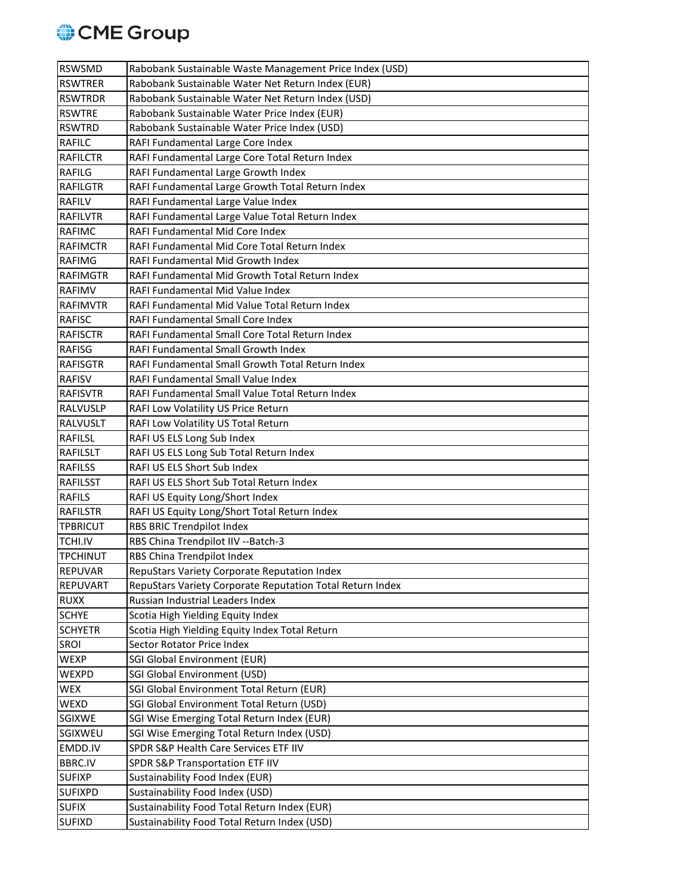

| <b>RSWSMD</b>             | Rabobank Sustainable Waste Management Price Index (USD)                                  |
|---------------------------|------------------------------------------------------------------------------------------|
| <b>RSWTRER</b>            | Rabobank Sustainable Water Net Return Index (EUR)                                        |
| <b>RSWTRDR</b>            | Rabobank Sustainable Water Net Return Index (USD)                                        |
| <b>RSWTRE</b>             | Rabobank Sustainable Water Price Index (EUR)                                             |
| <b>RSWTRD</b>             | Rabobank Sustainable Water Price Index (USD)                                             |
| <b>RAFILC</b>             | RAFI Fundamental Large Core Index                                                        |
| <b>RAFILCTR</b>           | RAFI Fundamental Large Core Total Return Index                                           |
| <b>RAFILG</b>             | RAFI Fundamental Large Growth Index                                                      |
| <b>RAFILGTR</b>           | RAFI Fundamental Large Growth Total Return Index                                         |
| <b>RAFILV</b>             | RAFI Fundamental Large Value Index                                                       |
| <b>RAFILVTR</b>           | RAFI Fundamental Large Value Total Return Index                                          |
| <b>RAFIMC</b>             | RAFI Fundamental Mid Core Index                                                          |
| <b>RAFIMCTR</b>           | RAFI Fundamental Mid Core Total Return Index                                             |
| <b>RAFIMG</b>             | RAFI Fundamental Mid Growth Index                                                        |
| <b>RAFIMGTR</b>           | RAFI Fundamental Mid Growth Total Return Index                                           |
| <b>RAFIMV</b>             | RAFI Fundamental Mid Value Index                                                         |
| <b>RAFIMVTR</b>           | RAFI Fundamental Mid Value Total Return Index                                            |
| <b>RAFISC</b>             | RAFI Fundamental Small Core Index                                                        |
| <b>RAFISCTR</b>           | RAFI Fundamental Small Core Total Return Index                                           |
| <b>RAFISG</b>             | RAFI Fundamental Small Growth Index                                                      |
| <b>RAFISGTR</b>           | RAFI Fundamental Small Growth Total Return Index                                         |
| <b>RAFISV</b>             | RAFI Fundamental Small Value Index                                                       |
| <b>RAFISVTR</b>           | RAFI Fundamental Small Value Total Return Index                                          |
| <b>RALVUSLP</b>           | RAFI Low Volatility US Price Return                                                      |
| <b>RALVUSLT</b>           | RAFI Low Volatility US Total Return                                                      |
| <b>RAFILSL</b>            | RAFI US ELS Long Sub Index                                                               |
| <b>RAFILSLT</b>           | RAFI US ELS Long Sub Total Return Index                                                  |
| <b>RAFILSS</b>            | RAFI US ELS Short Sub Index                                                              |
| <b>RAFILSST</b>           | RAFI US ELS Short Sub Total Return Index                                                 |
| <b>RAFILS</b>             | RAFI US Equity Long/Short Index                                                          |
| <b>RAFILSTR</b>           | RAFI US Equity Long/Short Total Return Index                                             |
| <b>TPBRICUT</b>           | RBS BRIC Trendpilot Index                                                                |
| TCHI.IV                   | RBS China Trendpilot IIV -- Batch-3                                                      |
| <b>TPCHINUT</b>           | RBS China Trendpilot Index                                                               |
| REPUVAR                   | RepuStars Variety Corporate Reputation Index                                             |
| <b>REPUVART</b>           | RepuStars Variety Corporate Reputation Total Return Index                                |
| <b>RUXX</b>               | Russian Industrial Leaders Index                                                         |
| <b>SCHYE</b>              | Scotia High Yielding Equity Index                                                        |
| <b>SCHYETR</b>            | Scotia High Yielding Equity Index Total Return                                           |
| <b>SROI</b>               | Sector Rotator Price Index                                                               |
| <b>WEXP</b>               | <b>SGI Global Environment (EUR)</b>                                                      |
| <b>WEXPD</b>              | <b>SGI Global Environment (USD)</b>                                                      |
| <b>WEX</b><br><b>WEXD</b> | SGI Global Environment Total Return (EUR)<br>SGI Global Environment Total Return (USD)   |
|                           |                                                                                          |
| <b>SGIXWE</b><br>SGIXWEU  | SGI Wise Emerging Total Return Index (EUR)<br>SGI Wise Emerging Total Return Index (USD) |
| EMDD.IV                   | SPDR S&P Health Care Services ETF IIV                                                    |
| <b>BBRC.IV</b>            | SPDR S&P Transportation ETF IIV                                                          |
| <b>SUFIXP</b>             | Sustainability Food Index (EUR)                                                          |
| <b>SUFIXPD</b>            | Sustainability Food Index (USD)                                                          |
| <b>SUFIX</b>              | Sustainability Food Total Return Index (EUR)                                             |
| <b>SUFIXD</b>             | Sustainability Food Total Return Index (USD)                                             |
|                           |                                                                                          |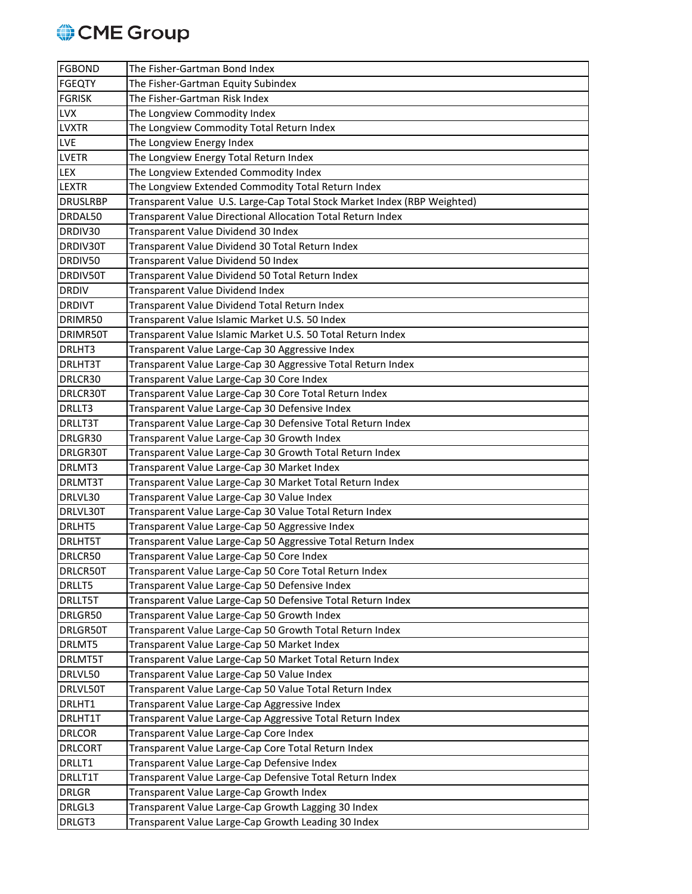

| <b>FGBOND</b>   | The Fisher-Gartman Bond Index                                            |
|-----------------|--------------------------------------------------------------------------|
| <b>FGEQTY</b>   | The Fisher-Gartman Equity Subindex                                       |
| <b>FGRISK</b>   | The Fisher-Gartman Risk Index                                            |
| <b>LVX</b>      | The Longview Commodity Index                                             |
| <b>LVXTR</b>    | The Longview Commodity Total Return Index                                |
| LVE             | The Longview Energy Index                                                |
| <b>LVETR</b>    | The Longview Energy Total Return Index                                   |
| <b>LEX</b>      | The Longview Extended Commodity Index                                    |
| <b>LEXTR</b>    | The Longview Extended Commodity Total Return Index                       |
| <b>DRUSLRBP</b> | Transparent Value U.S. Large-Cap Total Stock Market Index (RBP Weighted) |
| DRDAL50         | Transparent Value Directional Allocation Total Return Index              |
| DRDIV30         | Transparent Value Dividend 30 Index                                      |
| DRDIV30T        | Transparent Value Dividend 30 Total Return Index                         |
| DRDIV50         | Transparent Value Dividend 50 Index                                      |
| DRDIV50T        | Transparent Value Dividend 50 Total Return Index                         |
| <b>DRDIV</b>    | Transparent Value Dividend Index                                         |
| <b>DRDIVT</b>   | Transparent Value Dividend Total Return Index                            |
| DRIMR50         | Transparent Value Islamic Market U.S. 50 Index                           |
| DRIMR50T        | Transparent Value Islamic Market U.S. 50 Total Return Index              |
| DRLHT3          | Transparent Value Large-Cap 30 Aggressive Index                          |
| DRLHT3T         | Transparent Value Large-Cap 30 Aggressive Total Return Index             |
| DRLCR30         | Transparent Value Large-Cap 30 Core Index                                |
| DRLCR30T        | Transparent Value Large-Cap 30 Core Total Return Index                   |
| DRLLT3          | Transparent Value Large-Cap 30 Defensive Index                           |
| <b>DRLLT3T</b>  | Transparent Value Large-Cap 30 Defensive Total Return Index              |
| DRLGR30         | Transparent Value Large-Cap 30 Growth Index                              |
| DRLGR30T        | Transparent Value Large-Cap 30 Growth Total Return Index                 |
| DRLMT3          | Transparent Value Large-Cap 30 Market Index                              |
| DRLMT3T         | Transparent Value Large-Cap 30 Market Total Return Index                 |
| DRLVL30         | Transparent Value Large-Cap 30 Value Index                               |
| DRLVL30T        | Transparent Value Large-Cap 30 Value Total Return Index                  |
| DRLHT5          | Transparent Value Large-Cap 50 Aggressive Index                          |
| <b>DRLHT5T</b>  | Transparent Value Large-Cap 50 Aggressive Total Return Index             |
| DRLCR50         | Transparent Value Large-Cap 50 Core Index                                |
| DRLCR50T        | Transparent Value Large-Cap 50 Core Total Return Index                   |
| <b>DRLLT5</b>   | Transparent Value Large-Cap 50 Defensive Index                           |
| <b>DRLLT5T</b>  | Transparent Value Large-Cap 50 Defensive Total Return Index              |
| DRLGR50         | Transparent Value Large-Cap 50 Growth Index                              |
| DRLGR50T        | Transparent Value Large-Cap 50 Growth Total Return Index                 |
| DRLMT5          | Transparent Value Large-Cap 50 Market Index                              |
| <b>DRLMT5T</b>  | Transparent Value Large-Cap 50 Market Total Return Index                 |
| DRLVL50         | Transparent Value Large-Cap 50 Value Index                               |
| DRLVL50T        | Transparent Value Large-Cap 50 Value Total Return Index                  |
| DRLHT1          | Transparent Value Large-Cap Aggressive Index                             |
| <b>DRLHT1T</b>  | Transparent Value Large-Cap Aggressive Total Return Index                |
| <b>DRLCOR</b>   | Transparent Value Large-Cap Core Index                                   |
| <b>DRLCORT</b>  | Transparent Value Large-Cap Core Total Return Index                      |
| DRLLT1          | Transparent Value Large-Cap Defensive Index                              |
| DRLLT1T         | Transparent Value Large-Cap Defensive Total Return Index                 |
| <b>DRLGR</b>    | Transparent Value Large-Cap Growth Index                                 |
| DRLGL3          | Transparent Value Large-Cap Growth Lagging 30 Index                      |
| DRLGT3          | Transparent Value Large-Cap Growth Leading 30 Index                      |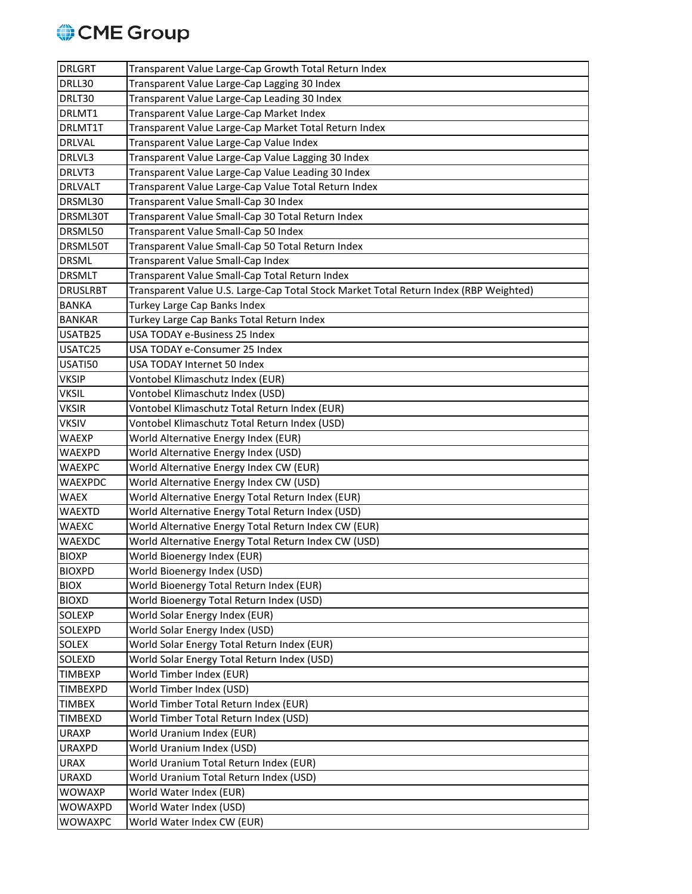

| <b>DRLGRT</b>   | Transparent Value Large-Cap Growth Total Return Index                                 |
|-----------------|---------------------------------------------------------------------------------------|
| DRLL30          | Transparent Value Large-Cap Lagging 30 Index                                          |
| DRLT30          | Transparent Value Large-Cap Leading 30 Index                                          |
| DRLMT1          | Transparent Value Large-Cap Market Index                                              |
| DRLMT1T         | Transparent Value Large-Cap Market Total Return Index                                 |
| <b>DRLVAL</b>   | Transparent Value Large-Cap Value Index                                               |
| DRLVL3          | Transparent Value Large-Cap Value Lagging 30 Index                                    |
| DRLVT3          | Transparent Value Large-Cap Value Leading 30 Index                                    |
| <b>DRLVALT</b>  | Transparent Value Large-Cap Value Total Return Index                                  |
| DRSML30         | Transparent Value Small-Cap 30 Index                                                  |
| DRSML30T        | Transparent Value Small-Cap 30 Total Return Index                                     |
| DRSML50         | Transparent Value Small-Cap 50 Index                                                  |
| DRSML50T        | Transparent Value Small-Cap 50 Total Return Index                                     |
| <b>DRSML</b>    | Transparent Value Small-Cap Index                                                     |
| <b>DRSMLT</b>   | Transparent Value Small-Cap Total Return Index                                        |
| <b>DRUSLRBT</b> | Transparent Value U.S. Large-Cap Total Stock Market Total Return Index (RBP Weighted) |
| <b>BANKA</b>    | Turkey Large Cap Banks Index                                                          |
| <b>BANKAR</b>   | Turkey Large Cap Banks Total Return Index                                             |
| USATB25         | USA TODAY e-Business 25 Index                                                         |
| USATC25         | USA TODAY e-Consumer 25 Index                                                         |
| USATI50         | USA TODAY Internet 50 Index                                                           |
| <b>VKSIP</b>    | Vontobel Klimaschutz Index (EUR)                                                      |
| <b>VKSIL</b>    | Vontobel Klimaschutz Index (USD)                                                      |
| <b>VKSIR</b>    | Vontobel Klimaschutz Total Return Index (EUR)                                         |
| <b>VKSIV</b>    | Vontobel Klimaschutz Total Return Index (USD)                                         |
| <b>WAEXP</b>    | World Alternative Energy Index (EUR)                                                  |
| <b>WAEXPD</b>   | World Alternative Energy Index (USD)                                                  |
| <b>WAEXPC</b>   | World Alternative Energy Index CW (EUR)                                               |
| <b>WAEXPDC</b>  | World Alternative Energy Index CW (USD)                                               |
| <b>WAEX</b>     | World Alternative Energy Total Return Index (EUR)                                     |
| <b>WAEXTD</b>   | World Alternative Energy Total Return Index (USD)                                     |
| <b>WAEXC</b>    | World Alternative Energy Total Return Index CW (EUR)                                  |
| <b>WAEXDC</b>   | World Alternative Energy Total Return Index CW (USD)                                  |
| <b>BIOXP</b>    | World Bioenergy Index (EUR)                                                           |
| <b>BIOXPD</b>   | World Bioenergy Index (USD)                                                           |
| <b>BIOX</b>     | World Bioenergy Total Return Index (EUR)                                              |
| <b>BIOXD</b>    | World Bioenergy Total Return Index (USD)                                              |
| <b>SOLEXP</b>   | World Solar Energy Index (EUR)                                                        |
| <b>SOLEXPD</b>  | World Solar Energy Index (USD)                                                        |
| <b>SOLEX</b>    | World Solar Energy Total Return Index (EUR)                                           |
| SOLEXD          | World Solar Energy Total Return Index (USD)                                           |
| <b>TIMBEXP</b>  | World Timber Index (EUR)                                                              |
| <b>TIMBEXPD</b> | World Timber Index (USD)                                                              |
| <b>TIMBEX</b>   | World Timber Total Return Index (EUR)                                                 |
| <b>TIMBEXD</b>  | World Timber Total Return Index (USD)                                                 |
| <b>URAXP</b>    | World Uranium Index (EUR)                                                             |
| <b>URAXPD</b>   | World Uranium Index (USD)                                                             |
| <b>URAX</b>     | World Uranium Total Return Index (EUR)                                                |
| <b>URAXD</b>    | World Uranium Total Return Index (USD)                                                |
| <b>WOWAXP</b>   | World Water Index (EUR)                                                               |
| <b>WOWAXPD</b>  | World Water Index (USD)                                                               |
| WOWAXPC         | World Water Index CW (EUR)                                                            |